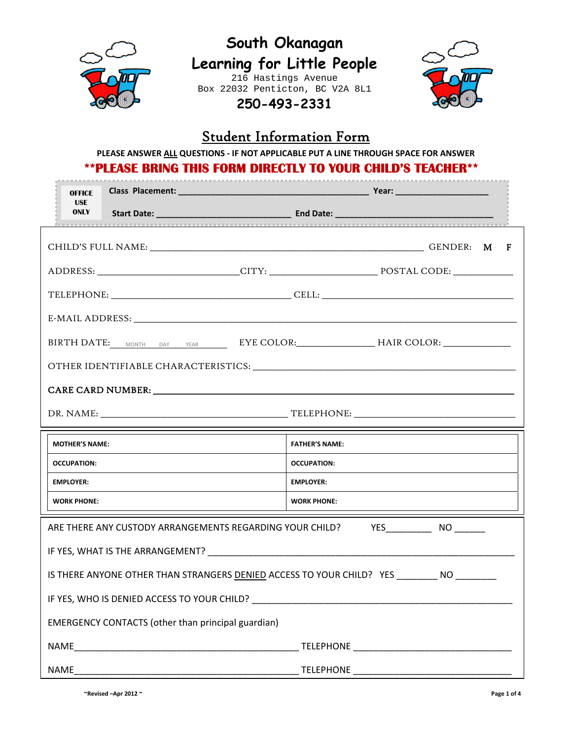

## **South Okanagan Learning for Little People**  216 Hastings Avenue

Box 22032 Penticton, BC V2A 8L1 **250-493-2331** 



## Student Information Form

**PLEASE ANSWER ALL QUESTIONS ‐ IF NOT APPLICABLE PUT A LINE THROUGH SPACE FOR ANSWER**

## **\*\*PLEASE BRING THIS FORM DIRECTLY TO YOUR CHILD'S TEACHER\*\***

|                                                                                                                                                                                                                                | <b>OFFICE</b>                                                                     |                                                                                                                |                       |  |  |  |  |  |  |
|--------------------------------------------------------------------------------------------------------------------------------------------------------------------------------------------------------------------------------|-----------------------------------------------------------------------------------|----------------------------------------------------------------------------------------------------------------|-----------------------|--|--|--|--|--|--|
|                                                                                                                                                                                                                                | <b>USE</b>                                                                        |                                                                                                                |                       |  |  |  |  |  |  |
|                                                                                                                                                                                                                                |                                                                                   |                                                                                                                |                       |  |  |  |  |  |  |
|                                                                                                                                                                                                                                |                                                                                   |                                                                                                                |                       |  |  |  |  |  |  |
|                                                                                                                                                                                                                                |                                                                                   |                                                                                                                |                       |  |  |  |  |  |  |
|                                                                                                                                                                                                                                |                                                                                   |                                                                                                                |                       |  |  |  |  |  |  |
|                                                                                                                                                                                                                                | BIRTH DATE: MONTH DAY YEAR EYE COLOR: HAIR COLOR: _______________________________ |                                                                                                                |                       |  |  |  |  |  |  |
| OTHER IDENTIFIABLE CHARACTERISTICS: University of the contract of the contract of the contract of the contract of the contract of the contract of the contract of the contract of the contract of the contract of the contract |                                                                                   |                                                                                                                |                       |  |  |  |  |  |  |
|                                                                                                                                                                                                                                |                                                                                   |                                                                                                                |                       |  |  |  |  |  |  |
|                                                                                                                                                                                                                                |                                                                                   |                                                                                                                |                       |  |  |  |  |  |  |
|                                                                                                                                                                                                                                |                                                                                   |                                                                                                                | <b>FATHER'S NAME:</b> |  |  |  |  |  |  |
|                                                                                                                                                                                                                                | <b>MOTHER'S NAME:</b>                                                             |                                                                                                                |                       |  |  |  |  |  |  |
|                                                                                                                                                                                                                                | <b>OCCUPATION:</b>                                                                |                                                                                                                | <b>OCCUPATION:</b>    |  |  |  |  |  |  |
|                                                                                                                                                                                                                                | <b>EMPLOYER:</b>                                                                  |                                                                                                                | <b>EMPLOYER:</b>      |  |  |  |  |  |  |
|                                                                                                                                                                                                                                | <b>WORK PHONE:</b>                                                                |                                                                                                                | <b>WORK PHONE:</b>    |  |  |  |  |  |  |
|                                                                                                                                                                                                                                |                                                                                   | ARE THERE ANY CUSTODY ARRANGEMENTS REGARDING YOUR CHILD? YES____________ NO ______                             |                       |  |  |  |  |  |  |
|                                                                                                                                                                                                                                |                                                                                   |                                                                                                                |                       |  |  |  |  |  |  |
|                                                                                                                                                                                                                                |                                                                                   | IS THERE ANYONE OTHER THAN STRANGERS DENIED ACCESS TO YOUR CHILD? YES NO NO NO REALLY AND THE REALLY ASSESSED. |                       |  |  |  |  |  |  |
|                                                                                                                                                                                                                                |                                                                                   |                                                                                                                |                       |  |  |  |  |  |  |
|                                                                                                                                                                                                                                |                                                                                   | <b>EMERGENCY CONTACTS (other than principal guardian)</b>                                                      |                       |  |  |  |  |  |  |
|                                                                                                                                                                                                                                |                                                                                   |                                                                                                                |                       |  |  |  |  |  |  |

**~Revised –Apr 2012 ~ Page 1 of 4**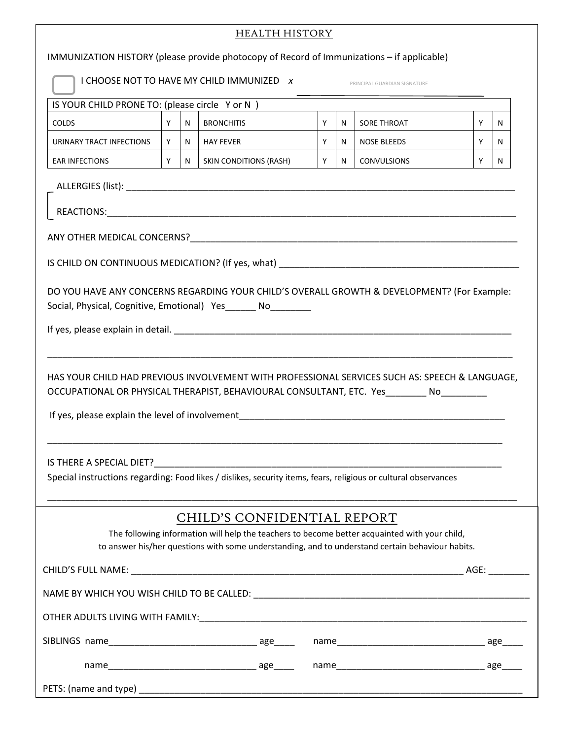|                                                                                                                                                                                                                                  | <b>HEALTH HISTORY</b> |    |                   |  |    |   |             |   |   |
|----------------------------------------------------------------------------------------------------------------------------------------------------------------------------------------------------------------------------------|-----------------------|----|-------------------|--|----|---|-------------|---|---|
| IMMUNIZATION HISTORY (please provide photocopy of Record of Immunizations – if applicable)                                                                                                                                       |                       |    |                   |  |    |   |             |   |   |
| I CHOOSE NOT TO HAVE MY CHILD IMMUNIZED X<br>PRINCIPAL GUARDIAN SIGNATURE                                                                                                                                                        |                       |    |                   |  |    |   |             |   |   |
| IS YOUR CHILD PRONE TO: (please circle Y or N)                                                                                                                                                                                   |                       |    |                   |  |    |   |             |   |   |
| <b>COLDS</b>                                                                                                                                                                                                                     | Y                     | N  | <b>BRONCHITIS</b> |  | Y  | N | SORE THROAT | Y | N |
| URINARY TRACT INFECTIONS                                                                                                                                                                                                         | Y.                    | N. | <b>HAY FEVER</b>  |  | Y. | N | NOSE BLEEDS | Y | N |
| Y<br>Y<br>Y<br><b>EAR INFECTIONS</b><br>N.<br>SKIN CONDITIONS (RASH)<br>$N$  <br><b>CONVULSIONS</b><br>N                                                                                                                         |                       |    |                   |  |    |   |             |   |   |
|                                                                                                                                                                                                                                  |                       |    |                   |  |    |   |             |   |   |
|                                                                                                                                                                                                                                  |                       |    |                   |  |    |   |             |   |   |
|                                                                                                                                                                                                                                  |                       |    |                   |  |    |   |             |   |   |
|                                                                                                                                                                                                                                  |                       |    |                   |  |    |   |             |   |   |
| DO YOU HAVE ANY CONCERNS REGARDING YOUR CHILD'S OVERALL GROWTH & DEVELOPMENT? (For Example:<br>Social, Physical, Cognitive, Emotional) Yes______ No________                                                                      |                       |    |                   |  |    |   |             |   |   |
|                                                                                                                                                                                                                                  |                       |    |                   |  |    |   |             |   |   |
| HAS YOUR CHILD HAD PREVIOUS INVOLVEMENT WITH PROFESSIONAL SERVICES SUCH AS: SPEECH & LANGUAGE,<br>OCCUPATIONAL OR PHYSICAL THERAPIST, BEHAVIOURAL CONSULTANT, ETC. Yes ________ No                                               |                       |    |                   |  |    |   |             |   |   |
| IS THERE A SPECIAL DIET?<br>Special instructions regarding: Food likes / dislikes, security items, fears, religious or cultural observances                                                                                      |                       |    |                   |  |    |   |             |   |   |
| CHILD'S CONFIDENTIAL REPORT<br>The following information will help the teachers to become better acquainted with your child,<br>to answer his/her questions with some understanding, and to understand certain behaviour habits. |                       |    |                   |  |    |   |             |   |   |
|                                                                                                                                                                                                                                  |                       |    |                   |  |    |   |             |   |   |
| NAME BY WHICH YOU WISH CHILD TO BE CALLED: NAME AND TO A RESERVE THE RESERVE TO A RESERVE THE RESERVE TO A RES                                                                                                                   |                       |    |                   |  |    |   |             |   |   |
|                                                                                                                                                                                                                                  |                       |    |                   |  |    |   |             |   |   |
|                                                                                                                                                                                                                                  |                       |    |                   |  |    |   |             |   |   |
|                                                                                                                                                                                                                                  |                       |    |                   |  |    |   |             |   |   |
|                                                                                                                                                                                                                                  |                       |    |                   |  |    |   |             |   |   |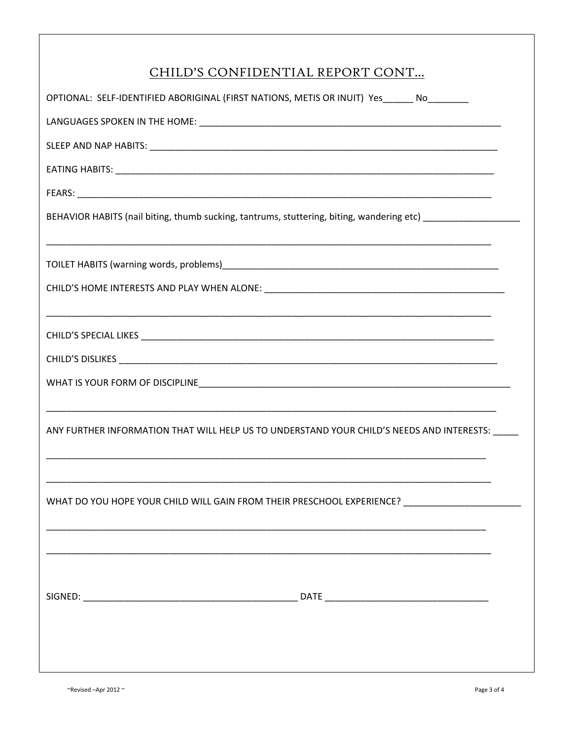| CHILD'S CONFIDENTIAL REPORT CONT                                                                           |
|------------------------------------------------------------------------------------------------------------|
| OPTIONAL: SELF-IDENTIFIED ABORIGINAL (FIRST NATIONS, METIS OR INUIT) Yes______ No________                  |
|                                                                                                            |
|                                                                                                            |
|                                                                                                            |
|                                                                                                            |
| BEHAVIOR HABITS (nail biting, thumb sucking, tantrums, stuttering, biting, wandering etc) ________________ |
|                                                                                                            |
|                                                                                                            |
|                                                                                                            |
|                                                                                                            |
|                                                                                                            |
| ANY FURTHER INFORMATION THAT WILL HELP US TO UNDERSTAND YOUR CHILD'S NEEDS AND INTERESTS:                  |
|                                                                                                            |
| WHAT DO YOU HOPE YOUR CHILD WILL GAIN FROM THEIR PRESCHOOL EXPERIENCE? ____________________________        |
|                                                                                                            |
|                                                                                                            |
|                                                                                                            |
|                                                                                                            |